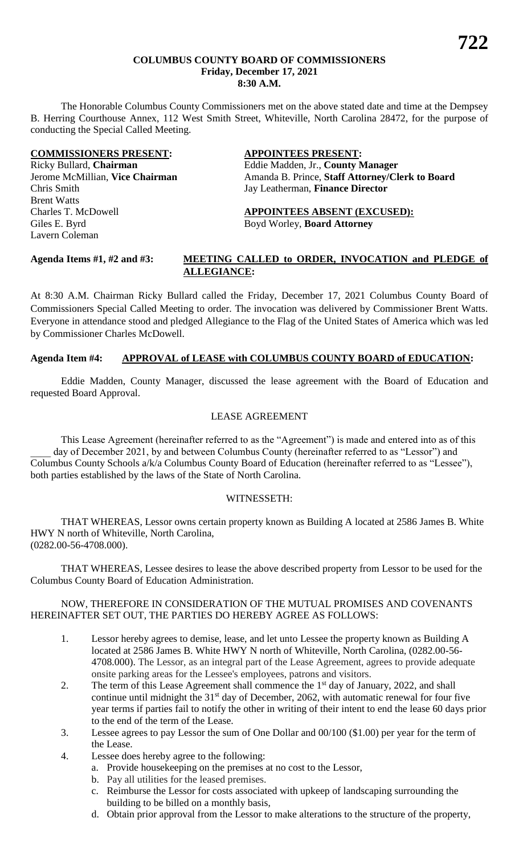#### **COLUMBUS COUNTY BOARD OF COMMISSIONERS Friday, December 17, 2021 8:30 A.M.**

The Honorable Columbus County Commissioners met on the above stated date and time at the Dempsey B. Herring Courthouse Annex, 112 West Smith Street, Whiteville, North Carolina 28472, for the purpose of conducting the Special Called Meeting.

#### **COMMISSIONERS PRESENT: APPOINTEES PRESENT:**

Chris Smith Jay Leatherman, **Finance Director** Brent Watts Charles T. McDowell **APPOINTEES ABSENT (EXCUSED):** Giles E. Byrd Boyd Worley, **Board Attorney** Lavern Coleman

### Ricky Bullard, **Chairman** Eddie Madden, Jr., **County Manager** Jerome McMillian, Vice Chairman Amanda B. Prince, Staff Attorney/Clerk to Board

#### **Agenda Items #1, #2 and #3: MEETING CALLED to ORDER, INVOCATION and PLEDGE of ALLEGIANCE:**

At 8:30 A.M. Chairman Ricky Bullard called the Friday, December 17, 2021 Columbus County Board of Commissioners Special Called Meeting to order. The invocation was delivered by Commissioner Brent Watts. Everyone in attendance stood and pledged Allegiance to the Flag of the United States of America which was led by Commissioner Charles McDowell.

#### **Agenda Item #4: APPROVAL of LEASE with COLUMBUS COUNTY BOARD of EDUCATION:**

Eddie Madden, County Manager, discussed the lease agreement with the Board of Education and requested Board Approval.

#### LEASE AGREEMENT

This Lease Agreement (hereinafter referred to as the "Agreement") is made and entered into as of this day of December 2021, by and between Columbus County (hereinafter referred to as "Lessor") and Columbus County Schools a/k/a Columbus County Board of Education (hereinafter referred to as "Lessee"), both parties established by the laws of the State of North Carolina.

#### WITNESSETH:

THAT WHEREAS, Lessor owns certain property known as Building A located at 2586 James B. White HWY N north of Whiteville, North Carolina, (0282.00-56-4708.000).

THAT WHEREAS, Lessee desires to lease the above described property from Lessor to be used for the Columbus County Board of Education Administration.

#### NOW, THEREFORE IN CONSIDERATION OF THE MUTUAL PROMISES AND COVENANTS HEREINAFTER SET OUT, THE PARTIES DO HEREBY AGREE AS FOLLOWS:

- 1. Lessor hereby agrees to demise, lease, and let unto Lessee the property known as Building A located at 2586 James B. White HWY N north of Whiteville, North Carolina, (0282.00-56- 4708.000). The Lessor, as an integral part of the Lease Agreement, agrees to provide adequate onsite parking areas for the Lessee's employees, patrons and visitors.
- 2. The term of this Lease Agreement shall commence the 1<sup>st</sup> day of January, 2022, and shall continue until midnight the  $31<sup>st</sup>$  day of December, 2062, with automatic renewal for four five year terms if parties fail to notify the other in writing of their intent to end the lease 60 days prior to the end of the term of the Lease.
- 3. Lessee agrees to pay Lessor the sum of One Dollar and 00/100 (\$1.00) per year for the term of the Lease.
- 4. Lessee does hereby agree to the following:
	- a. Provide housekeeping on the premises at no cost to the Lessor,
	- b. Pay all utilities for the leased premises.
	- c. Reimburse the Lessor for costs associated with upkeep of landscaping surrounding the building to be billed on a monthly basis,
	- d. Obtain prior approval from the Lessor to make alterations to the structure of the property,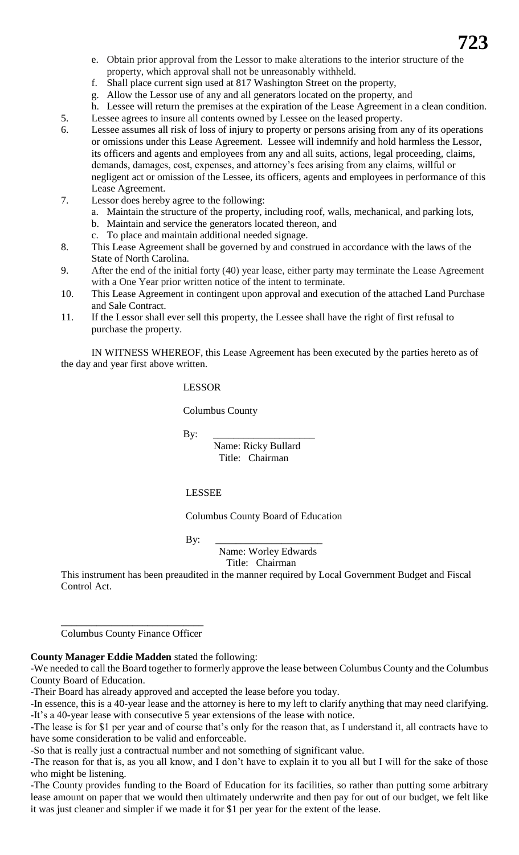- e. Obtain prior approval from the Lessor to make alterations to the interior structure of the property, which approval shall not be unreasonably withheld.
- f. Shall place current sign used at 817 Washington Street on the property,
- g. Allow the Lessor use of any and all generators located on the property, and
- h. Lessee will return the premises at the expiration of the Lease Agreement in a clean condition.
- 5. Lessee agrees to insure all contents owned by Lessee on the leased property.
- 6. Lessee assumes all risk of loss of injury to property or persons arising from any of its operations or omissions under this Lease Agreement. Lessee will indemnify and hold harmless the Lessor, its officers and agents and employees from any and all suits, actions, legal proceeding, claims, demands, damages, cost, expenses, and attorney's fees arising from any claims, willful or negligent act or omission of the Lessee, its officers, agents and employees in performance of this Lease Agreement.
- 7. Lessor does hereby agree to the following:
	- a. Maintain the structure of the property, including roof, walls, mechanical, and parking lots,
	- b. Maintain and service the generators located thereon, and
	- c. To place and maintain additional needed signage.
- 8. This Lease Agreement shall be governed by and construed in accordance with the laws of the State of North Carolina.
- 9. After the end of the initial forty (40) year lease, either party may terminate the Lease Agreement with a One Year prior written notice of the intent to terminate.
- 10. This Lease Agreement in contingent upon approval and execution of the attached Land Purchase and Sale Contract.
- 11. If the Lessor shall ever sell this property, the Lessee shall have the right of first refusal to purchase the property.

IN WITNESS WHEREOF, this Lease Agreement has been executed by the parties hereto as of the day and year first above written.

#### LESSOR

Columbus County

By: \_\_\_\_\_\_\_\_\_\_\_\_\_\_\_\_\_\_\_\_

 Name: Ricky Bullard Title: Chairman

#### LESSEE

Columbus County Board of Education

By: \_\_\_\_\_\_\_\_\_\_\_\_\_\_\_\_\_\_\_\_\_

 Name: Worley Edwards Title: Chairman

This instrument has been preaudited in the manner required by Local Government Budget and Fiscal Control Act.

\_\_\_\_\_\_\_\_\_\_\_\_\_\_\_\_\_\_\_\_\_\_\_\_\_\_\_\_ Columbus County Finance Officer

### **County Manager Eddie Madden** stated the following:

-We needed to call the Board together to formerly approve the lease between Columbus County and the Columbus County Board of Education.

-Their Board has already approved and accepted the lease before you today.

-In essence, this is a 40-year lease and the attorney is here to my left to clarify anything that may need clarifying. -It's a 40-year lease with consecutive 5 year extensions of the lease with notice.

-The lease is for \$1 per year and of course that's only for the reason that, as I understand it, all contracts have to have some consideration to be valid and enforceable.

-So that is really just a contractual number and not something of significant value.

-The reason for that is, as you all know, and I don't have to explain it to you all but I will for the sake of those who might be listening.

-The County provides funding to the Board of Education for its facilities, so rather than putting some arbitrary lease amount on paper that we would then ultimately underwrite and then pay for out of our budget, we felt like it was just cleaner and simpler if we made it for \$1 per year for the extent of the lease.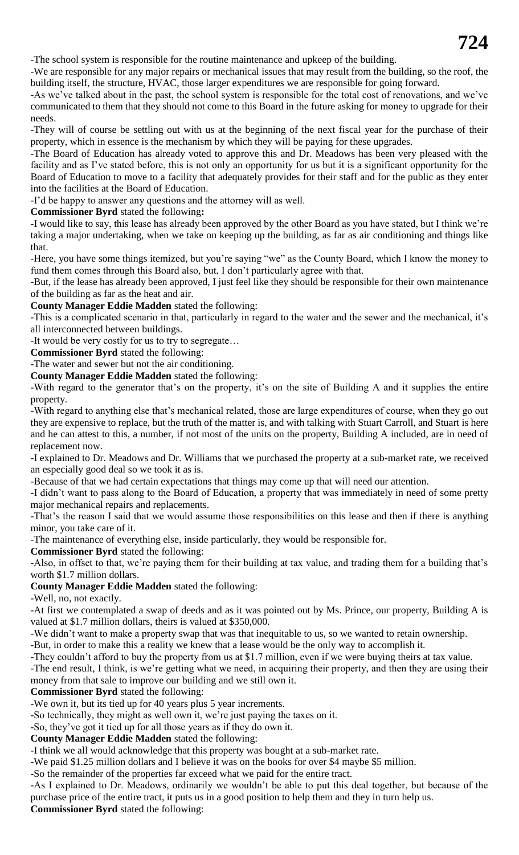-The school system is responsible for the routine maintenance and upkeep of the building.

-We are responsible for any major repairs or mechanical issues that may result from the building, so the roof, the building itself, the structure, HVAC, those larger expenditures we are responsible for going forward.

-As we've talked about in the past, the school system is responsible for the total cost of renovations, and we've communicated to them that they should not come to this Board in the future asking for money to upgrade for their needs.

-They will of course be settling out with us at the beginning of the next fiscal year for the purchase of their property, which in essence is the mechanism by which they will be paying for these upgrades.

-The Board of Education has already voted to approve this and Dr. Meadows has been very pleased with the facility and as I've stated before, this is not only an opportunity for us but it is a significant opportunity for the Board of Education to move to a facility that adequately provides for their staff and for the public as they enter into the facilities at the Board of Education.

-I'd be happy to answer any questions and the attorney will as well.

**Commissioner Byrd** stated the following**:** 

**-**I would like to say, this lease has already been approved by the other Board as you have stated, but I think we're taking a major undertaking, when we take on keeping up the building, as far as air conditioning and things like that.

-Here, you have some things itemized, but you're saying "we" as the County Board, which I know the money to fund them comes through this Board also, but, I don't particularly agree with that.

-But, if the lease has already been approved, I just feel like they should be responsible for their own maintenance of the building as far as the heat and air.

**County Manager Eddie Madden** stated the following:

-This is a complicated scenario in that, particularly in regard to the water and the sewer and the mechanical, it's all interconnected between buildings.

-It would be very costly for us to try to segregate…

**Commissioner Byrd** stated the following:

-The water and sewer but not the air conditioning.

**County Manager Eddie Madden** stated the following:

**-**With regard to the generator that's on the property, it's on the site of Building A and it supplies the entire property.

-With regard to anything else that's mechanical related, those are large expenditures of course, when they go out they are expensive to replace, but the truth of the matter is, and with talking with Stuart Carroll, and Stuart is here and he can attest to this, a number, if not most of the units on the property, Building A included, are in need of replacement now.

-I explained to Dr. Meadows and Dr. Williams that we purchased the property at a sub-market rate, we received an especially good deal so we took it as is.

-Because of that we had certain expectations that things may come up that will need our attention.

-I didn't want to pass along to the Board of Education, a property that was immediately in need of some pretty major mechanical repairs and replacements.

-That's the reason I said that we would assume those responsibilities on this lease and then if there is anything minor, you take care of it.

-The maintenance of everything else, inside particularly, they would be responsible for.

**Commissioner Byrd** stated the following:

-Also, in offset to that, we're paying them for their building at tax value, and trading them for a building that's worth \$1.7 million dollars.

**County Manager Eddie Madden** stated the following:

-Well, no, not exactly.

-At first we contemplated a swap of deeds and as it was pointed out by Ms. Prince, our property, Building A is valued at \$1.7 million dollars, theirs is valued at \$350,000.

-We didn't want to make a property swap that was that inequitable to us, so we wanted to retain ownership.

-But, in order to make this a reality we knew that a lease would be the only way to accomplish it.

-They couldn't afford to buy the property from us at \$1.7 million, even if we were buying theirs at tax value. -The end result, I think, is we're getting what we need, in acquiring their property, and then they are using their money from that sale to improve our building and we still own it.

### **Commissioner Byrd** stated the following:

-We own it, but its tied up for 40 years plus 5 year increments.

-So technically, they might as well own it, we're just paying the taxes on it.

-So, they've got it tied up for all those years as if they do own it.

#### **County Manager Eddie Madden** stated the following:

-I think we all would acknowledge that this property was bought at a sub-market rate.

-We paid \$1.25 million dollars and I believe it was on the books for over \$4 maybe \$5 million.

-So the remainder of the properties far exceed what we paid for the entire tract.

-As I explained to Dr. Meadows, ordinarily we wouldn't be able to put this deal together, but because of the purchase price of the entire tract, it puts us in a good position to help them and they in turn help us. **Commissioner Byrd** stated the following: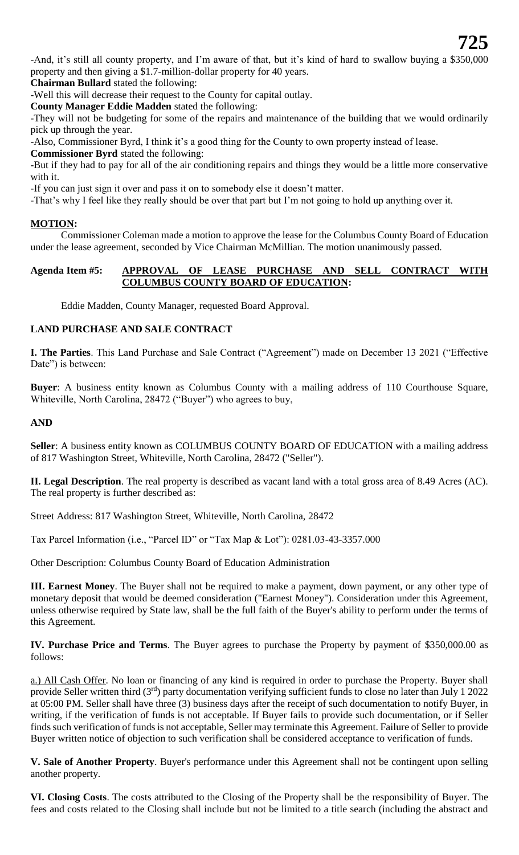-And, it's still all county property, and I'm aware of that, but it's kind of hard to swallow buying a \$350,000 property and then giving a \$1.7-million-dollar property for 40 years.

**Chairman Bullard** stated the following:

-Well this will decrease their request to the County for capital outlay.

**County Manager Eddie Madden** stated the following:

-They will not be budgeting for some of the repairs and maintenance of the building that we would ordinarily pick up through the year.

-Also, Commissioner Byrd, I think it's a good thing for the County to own property instead of lease.

**Commissioner Byrd** stated the following:

-But if they had to pay for all of the air conditioning repairs and things they would be a little more conservative with it.

-If you can just sign it over and pass it on to somebody else it doesn't matter.

-That's why I feel like they really should be over that part but I'm not going to hold up anything over it.

#### **MOTION:**

Commissioner Coleman made a motion to approve the lease for the Columbus County Board of Education under the lease agreement, seconded by Vice Chairman McMillian. The motion unanimously passed.

#### **Agenda Item #5: APPROVAL OF LEASE PURCHASE AND SELL CONTRACT WITH COLUMBUS COUNTY BOARD OF EDUCATION:**

Eddie Madden, County Manager, requested Board Approval.

#### **LAND PURCHASE AND SALE CONTRACT**

**I. The Parties**. This Land Purchase and Sale Contract ("Agreement") made on December 13 2021 ("Effective Date") is between:

**Buyer**: A business entity known as Columbus County with a mailing address of 110 Courthouse Square, Whiteville, North Carolina, 28472 ("Buyer") who agrees to buy,

#### **AND**

**Seller**: A business entity known as COLUMBUS COUNTY BOARD OF EDUCATION with a mailing address of 817 Washington Street, Whiteville, North Carolina, 28472 ("Seller").

**II. Legal Description**. The real property is described as vacant land with a total gross area of 8.49 Acres (AC). The real property is further described as:

Street Address: 817 Washington Street, Whiteville, North Carolina, 28472

Tax Parcel Information (i.e., "Parcel ID" or "Tax Map & Lot"): 0281.03-43-3357.000

Other Description: Columbus County Board of Education Administration

**III. Earnest Money**. The Buyer shall not be required to make a payment, down payment, or any other type of monetary deposit that would be deemed consideration ("Earnest Money"). Consideration under this Agreement, unless otherwise required by State law, shall be the full faith of the Buyer's ability to perform under the terms of this Agreement.

**IV. Purchase Price and Terms**. The Buyer agrees to purchase the Property by payment of \$350,000.00 as follows:

a.) All Cash Offer. No loan or financing of any kind is required in order to purchase the Property. Buyer shall provide Seller written third  $(3<sup>rd</sup>)$  party documentation verifying sufficient funds to close no later than July 1 2022 at 05:00 PM. Seller shall have three (3) business days after the receipt of such documentation to notify Buyer, in writing, if the verification of funds is not acceptable. If Buyer fails to provide such documentation, or if Seller finds such verification of funds is not acceptable, Seller may terminate this Agreement. Failure of Seller to provide Buyer written notice of objection to such verification shall be considered acceptance to verification of funds.

**V. Sale of Another Property**. Buyer's performance under this Agreement shall not be contingent upon selling another property.

**VI. Closing Costs**. The costs attributed to the Closing of the Property shall be the responsibility of Buyer. The fees and costs related to the Closing shall include but not be limited to a title search (including the abstract and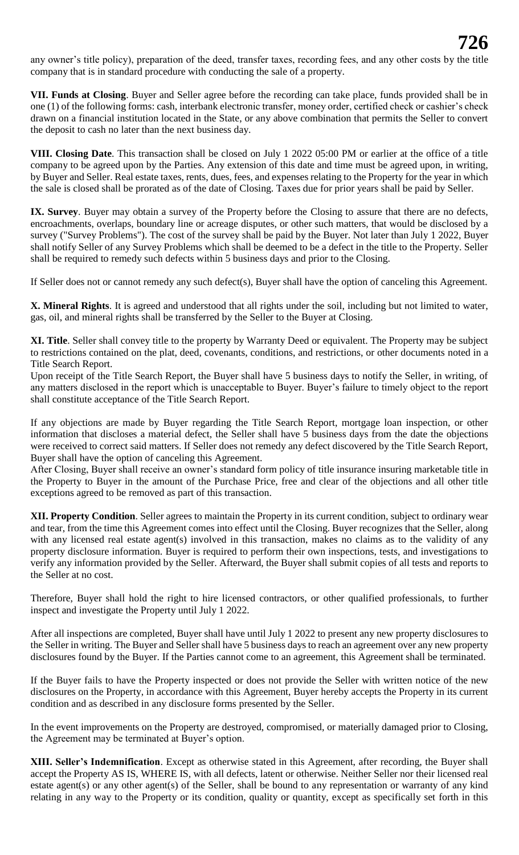any owner's title policy), preparation of the deed, transfer taxes, recording fees, and any other costs by the title company that is in standard procedure with conducting the sale of a property.

**VII. Funds at Closing**. Buyer and Seller agree before the recording can take place, funds provided shall be in one (1) of the following forms: cash, interbank electronic transfer, money order, certified check or cashier's check drawn on a financial institution located in the State, or any above combination that permits the Seller to convert the deposit to cash no later than the next business day.

**VIII. Closing Date**. This transaction shall be closed on July 1 2022 05:00 PM or earlier at the office of a title company to be agreed upon by the Parties. Any extension of this date and time must be agreed upon, in writing, by Buyer and Seller. Real estate taxes, rents, dues, fees, and expenses relating to the Property for the year in which the sale is closed shall be prorated as of the date of Closing. Taxes due for prior years shall be paid by Seller.

**IX. Survey**. Buyer may obtain a survey of the Property before the Closing to assure that there are no defects, encroachments, overlaps, boundary line or acreage disputes, or other such matters, that would be disclosed by a survey ("Survey Problems"). The cost of the survey shall be paid by the Buyer. Not later than July 1 2022, Buyer shall notify Seller of any Survey Problems which shall be deemed to be a defect in the title to the Property. Seller shall be required to remedy such defects within 5 business days and prior to the Closing.

If Seller does not or cannot remedy any such defect(s), Buyer shall have the option of canceling this Agreement.

**X. Mineral Rights**. It is agreed and understood that all rights under the soil, including but not limited to water, gas, oil, and mineral rights shall be transferred by the Seller to the Buyer at Closing.

**XI. Title**. Seller shall convey title to the property by Warranty Deed or equivalent. The Property may be subject to restrictions contained on the plat, deed, covenants, conditions, and restrictions, or other documents noted in a Title Search Report.

Upon receipt of the Title Search Report, the Buyer shall have 5 business days to notify the Seller, in writing, of any matters disclosed in the report which is unacceptable to Buyer. Buyer's failure to timely object to the report shall constitute acceptance of the Title Search Report.

If any objections are made by Buyer regarding the Title Search Report, mortgage loan inspection, or other information that discloses a material defect, the Seller shall have 5 business days from the date the objections were received to correct said matters. If Seller does not remedy any defect discovered by the Title Search Report, Buyer shall have the option of canceling this Agreement.

After Closing, Buyer shall receive an owner's standard form policy of title insurance insuring marketable title in the Property to Buyer in the amount of the Purchase Price, free and clear of the objections and all other title exceptions agreed to be removed as part of this transaction.

**XII. Property Condition**. Seller agrees to maintain the Property in its current condition, subject to ordinary wear and tear, from the time this Agreement comes into effect until the Closing. Buyer recognizes that the Seller, along with any licensed real estate agent(s) involved in this transaction, makes no claims as to the validity of any property disclosure information. Buyer is required to perform their own inspections, tests, and investigations to verify any information provided by the Seller. Afterward, the Buyer shall submit copies of all tests and reports to the Seller at no cost.

Therefore, Buyer shall hold the right to hire licensed contractors, or other qualified professionals, to further inspect and investigate the Property until July 1 2022.

After all inspections are completed, Buyer shall have until July 1 2022 to present any new property disclosures to the Seller in writing. The Buyer and Seller shall have 5 business days to reach an agreement over any new property disclosures found by the Buyer. If the Parties cannot come to an agreement, this Agreement shall be terminated.

If the Buyer fails to have the Property inspected or does not provide the Seller with written notice of the new disclosures on the Property, in accordance with this Agreement, Buyer hereby accepts the Property in its current condition and as described in any disclosure forms presented by the Seller.

In the event improvements on the Property are destroyed, compromised, or materially damaged prior to Closing, the Agreement may be terminated at Buyer's option.

**XIII. Seller's Indemnification**. Except as otherwise stated in this Agreement, after recording, the Buyer shall accept the Property AS IS, WHERE IS, with all defects, latent or otherwise. Neither Seller nor their licensed real estate agent(s) or any other agent(s) of the Seller, shall be bound to any representation or warranty of any kind relating in any way to the Property or its condition, quality or quantity, except as specifically set forth in this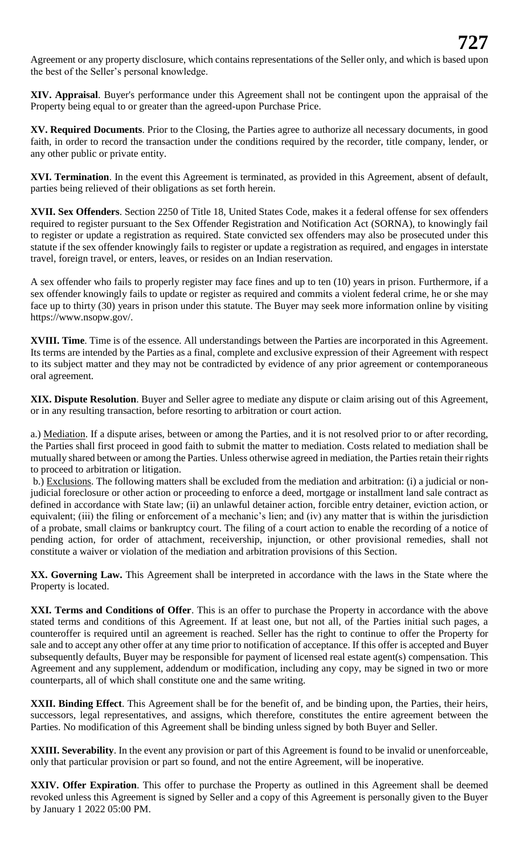Agreement or any property disclosure, which contains representations of the Seller only, and which is based upon the best of the Seller's personal knowledge.

**XIV. Appraisal**. Buyer's performance under this Agreement shall not be contingent upon the appraisal of the Property being equal to or greater than the agreed-upon Purchase Price.

**XV. Required Documents**. Prior to the Closing, the Parties agree to authorize all necessary documents, in good faith, in order to record the transaction under the conditions required by the recorder, title company, lender, or any other public or private entity.

**XVI. Termination**. In the event this Agreement is terminated, as provided in this Agreement, absent of default, parties being relieved of their obligations as set forth herein.

**XVII. Sex Offenders**. Section 2250 of Title 18, United States Code, makes it a federal offense for sex offenders required to register pursuant to the Sex Offender Registration and Notification Act (SORNA), to knowingly fail to register or update a registration as required. State convicted sex offenders may also be prosecuted under this statute if the sex offender knowingly fails to register or update a registration as required, and engages in interstate travel, foreign travel, or enters, leaves, or resides on an Indian reservation.

A sex offender who fails to properly register may face fines and up to ten (10) years in prison. Furthermore, if a sex offender knowingly fails to update or register as required and commits a violent federal crime, he or she may face up to thirty (30) years in prison under this statute. The Buyer may seek more information online by visiting https://www.nsopw.gov/.

**XVIII. Time**. Time is of the essence. All understandings between the Parties are incorporated in this Agreement. Its terms are intended by the Parties as a final, complete and exclusive expression of their Agreement with respect to its subject matter and they may not be contradicted by evidence of any prior agreement or contemporaneous oral agreement.

**XIX. Dispute Resolution**. Buyer and Seller agree to mediate any dispute or claim arising out of this Agreement, or in any resulting transaction, before resorting to arbitration or court action.

a.) Mediation. If a dispute arises, between or among the Parties, and it is not resolved prior to or after recording, the Parties shall first proceed in good faith to submit the matter to mediation. Costs related to mediation shall be mutually shared between or among the Parties. Unless otherwise agreed in mediation, the Parties retain their rights to proceed to arbitration or litigation.

b.) Exclusions. The following matters shall be excluded from the mediation and arbitration: (i) a judicial or nonjudicial foreclosure or other action or proceeding to enforce a deed, mortgage or installment land sale contract as defined in accordance with State law; (ii) an unlawful detainer action, forcible entry detainer, eviction action, or equivalent; (iii) the filing or enforcement of a mechanic's lien; and (iv) any matter that is within the jurisdiction of a probate, small claims or bankruptcy court. The filing of a court action to enable the recording of a notice of pending action, for order of attachment, receivership, injunction, or other provisional remedies, shall not constitute a waiver or violation of the mediation and arbitration provisions of this Section.

**XX. Governing Law.** This Agreement shall be interpreted in accordance with the laws in the State where the Property is located.

**XXI. Terms and Conditions of Offer**. This is an offer to purchase the Property in accordance with the above stated terms and conditions of this Agreement. If at least one, but not all, of the Parties initial such pages, a counteroffer is required until an agreement is reached. Seller has the right to continue to offer the Property for sale and to accept any other offer at any time prior to notification of acceptance. If this offer is accepted and Buyer subsequently defaults, Buyer may be responsible for payment of licensed real estate agent(s) compensation. This Agreement and any supplement, addendum or modification, including any copy, may be signed in two or more counterparts, all of which shall constitute one and the same writing.

**XXII. Binding Effect**. This Agreement shall be for the benefit of, and be binding upon, the Parties, their heirs, successors, legal representatives, and assigns, which therefore, constitutes the entire agreement between the Parties. No modification of this Agreement shall be binding unless signed by both Buyer and Seller.

**XXIII. Severability**. In the event any provision or part of this Agreement is found to be invalid or unenforceable, only that particular provision or part so found, and not the entire Agreement, will be inoperative.

**XXIV. Offer Expiration**. This offer to purchase the Property as outlined in this Agreement shall be deemed revoked unless this Agreement is signed by Seller and a copy of this Agreement is personally given to the Buyer by January 1 2022 05:00 PM.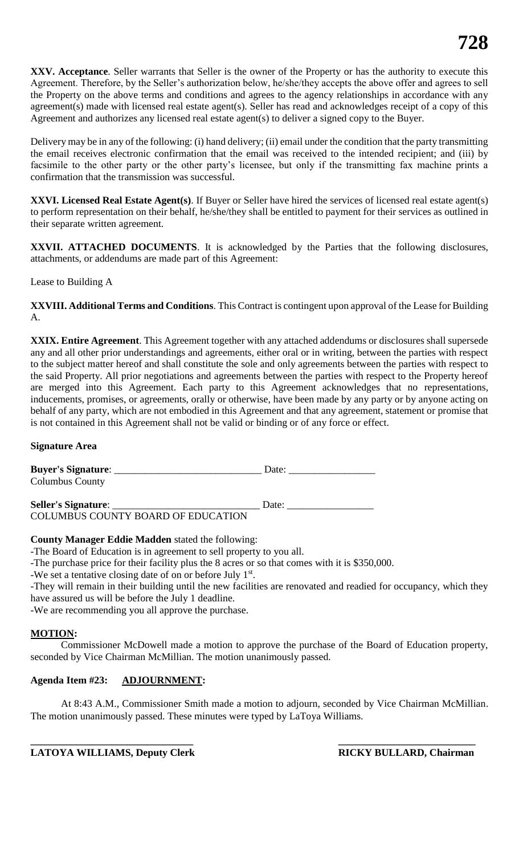**XXV. Acceptance**. Seller warrants that Seller is the owner of the Property or has the authority to execute this Agreement. Therefore, by the Seller's authorization below, he/she/they accepts the above offer and agrees to sell the Property on the above terms and conditions and agrees to the agency relationships in accordance with any agreement(s) made with licensed real estate agent(s). Seller has read and acknowledges receipt of a copy of this Agreement and authorizes any licensed real estate agent(s) to deliver a signed copy to the Buyer.

Delivery may be in any of the following: (i) hand delivery; (ii) email under the condition that the party transmitting the email receives electronic confirmation that the email was received to the intended recipient; and (iii) by facsimile to the other party or the other party's licensee, but only if the transmitting fax machine prints a confirmation that the transmission was successful.

**XXVI. Licensed Real Estate Agent(s)**. If Buyer or Seller have hired the services of licensed real estate agent(s) to perform representation on their behalf, he/she/they shall be entitled to payment for their services as outlined in their separate written agreement.

**XXVII. ATTACHED DOCUMENTS**. It is acknowledged by the Parties that the following disclosures, attachments, or addendums are made part of this Agreement:

Lease to Building A

**XXVIII. Additional Terms and Conditions**. This Contract is contingent upon approval of the Lease for Building A.

**XXIX. Entire Agreement**. This Agreement together with any attached addendums or disclosures shall supersede any and all other prior understandings and agreements, either oral or in writing, between the parties with respect to the subject matter hereof and shall constitute the sole and only agreements between the parties with respect to the said Property. All prior negotiations and agreements between the parties with respect to the Property hereof are merged into this Agreement. Each party to this Agreement acknowledges that no representations, inducements, promises, or agreements, orally or otherwise, have been made by any party or by anyone acting on behalf of any party, which are not embodied in this Agreement and that any agreement, statement or promise that is not contained in this Agreement shall not be valid or binding or of any force or effect.

#### **Signature Area**

| <b>Buyer's Signature:</b>          | Date: |
|------------------------------------|-------|
| <b>Columbus County</b>             |       |
|                                    |       |
| Seller's Signature:                | Date: |
| COLUMBUS COUNTY BOARD OF EDUCATION |       |

#### **County Manager Eddie Madden** stated the following:

-The Board of Education is in agreement to sell property to you all.

-The purchase price for their facility plus the 8 acres or so that comes with it is \$350,000.

-We set a tentative closing date of on or before July 1st.

-They will remain in their building until the new facilities are renovated and readied for occupancy, which they have assured us will be before the July 1 deadline.

-We are recommending you all approve the purchase.

#### **MOTION:**

Commissioner McDowell made a motion to approve the purchase of the Board of Education property, seconded by Vice Chairman McMillian. The motion unanimously passed.

#### **Agenda Item #23: ADJOURNMENT:**

At 8:43 A.M., Commissioner Smith made a motion to adjourn, seconded by Vice Chairman McMillian. The motion unanimously passed. These minutes were typed by LaToya Williams.

**\_\_\_\_\_\_\_\_\_\_\_\_\_\_\_\_\_\_\_\_\_\_\_\_\_\_\_\_\_\_\_\_ \_\_\_\_\_\_\_\_\_\_\_\_\_\_\_\_\_\_\_\_\_\_\_\_\_\_\_**